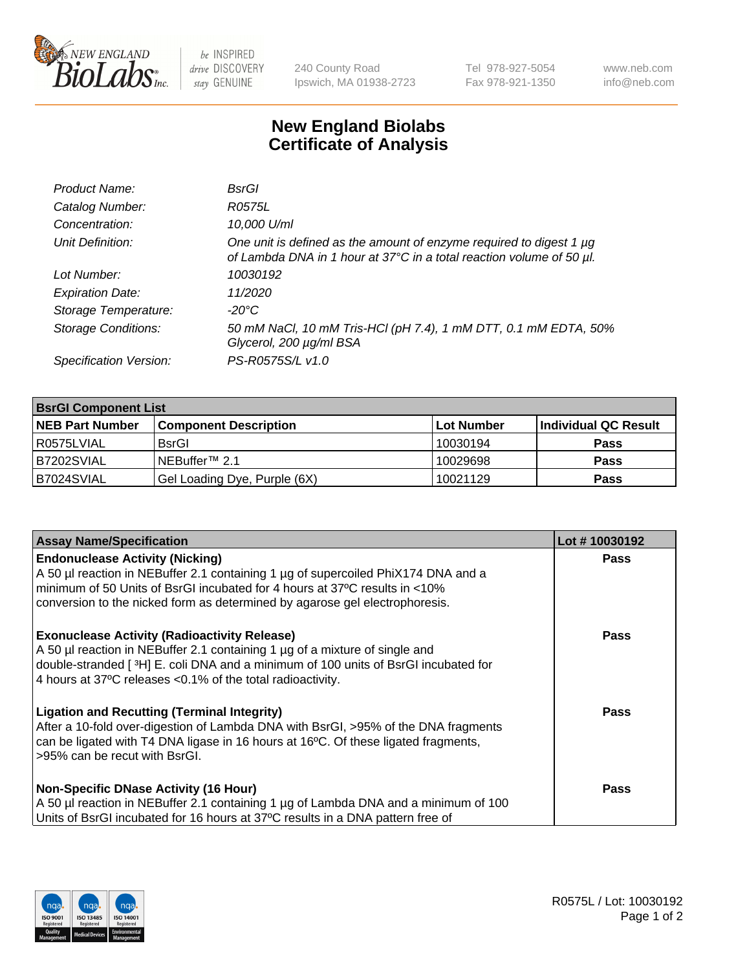

 $be$  INSPIRED drive DISCOVERY stay GENUINE

240 County Road Ipswich, MA 01938-2723 Tel 978-927-5054 Fax 978-921-1350 www.neb.com info@neb.com

## **New England Biolabs Certificate of Analysis**

| Product Name:              | BsrGl                                                                                                                                       |
|----------------------------|---------------------------------------------------------------------------------------------------------------------------------------------|
| Catalog Number:            | R0575L                                                                                                                                      |
| Concentration:             | 10,000 U/ml                                                                                                                                 |
| Unit Definition:           | One unit is defined as the amount of enzyme required to digest 1 µg<br>of Lambda DNA in 1 hour at 37°C in a total reaction volume of 50 µl. |
| Lot Number:                | 10030192                                                                                                                                    |
| <b>Expiration Date:</b>    | 11/2020                                                                                                                                     |
| Storage Temperature:       | $-20^{\circ}$ C                                                                                                                             |
| <b>Storage Conditions:</b> | 50 mM NaCl, 10 mM Tris-HCl (pH 7.4), 1 mM DTT, 0.1 mM EDTA, 50%<br>Glycerol, 200 µg/ml BSA                                                  |
| Specification Version:     | PS-R0575S/L v1.0                                                                                                                            |

| <b>BsrGI Component List</b> |                              |             |                      |  |  |
|-----------------------------|------------------------------|-------------|----------------------|--|--|
| <b>NEB Part Number</b>      | <b>Component Description</b> | ∣Lot Number | Individual QC Result |  |  |
| R0575LVIAL                  | <b>BsrGI</b>                 | 10030194    | <b>Pass</b>          |  |  |
| B7202SVIAL                  | l NEBuffer™ 2.1              | 10029698    | <b>Pass</b>          |  |  |
| B7024SVIAL                  | Gel Loading Dye, Purple (6X) | 10021129    | <b>Pass</b>          |  |  |

| <b>Assay Name/Specification</b>                                                                                                                                                                                                                                                         | Lot #10030192 |
|-----------------------------------------------------------------------------------------------------------------------------------------------------------------------------------------------------------------------------------------------------------------------------------------|---------------|
| <b>Endonuclease Activity (Nicking)</b><br>A 50 µl reaction in NEBuffer 2.1 containing 1 µg of supercoiled PhiX174 DNA and a                                                                                                                                                             | <b>Pass</b>   |
| minimum of 50 Units of BsrGI incubated for 4 hours at 37°C results in <10%<br>conversion to the nicked form as determined by agarose gel electrophoresis.                                                                                                                               |               |
| <b>Exonuclease Activity (Radioactivity Release)</b><br>A 50 µl reaction in NEBuffer 2.1 containing 1 µg of a mixture of single and<br>double-stranded [3H] E. coli DNA and a minimum of 100 units of BsrGI incubated for<br>4 hours at 37°C releases < 0.1% of the total radioactivity. | Pass          |
| <b>Ligation and Recutting (Terminal Integrity)</b><br>After a 10-fold over-digestion of Lambda DNA with BsrGI, >95% of the DNA fragments<br>can be ligated with T4 DNA ligase in 16 hours at 16 $\degree$ C. Of these ligated fragments,<br>l >95% can be recut with BsrGI.             | Pass          |
| <b>Non-Specific DNase Activity (16 Hour)</b><br>A 50 µl reaction in NEBuffer 2.1 containing 1 µg of Lambda DNA and a minimum of 100<br>Units of BsrGI incubated for 16 hours at 37°C results in a DNA pattern free of                                                                   | <b>Pass</b>   |